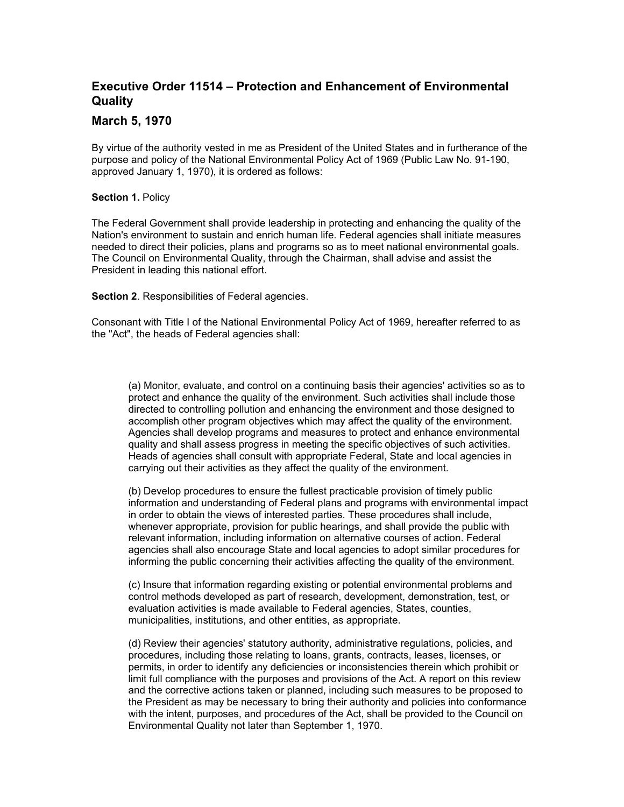## **Executive Order 11514 – Protection and Enhancement of Environmental Quality**

## **March 5, 1970**

By virtue of the authority vested in me as President of the United States and in furtherance of the purpose and policy of the National Environmental Policy Act of 1969 (Public Law No. 91-190, approved January 1, 1970), it is ordered as follows:

## **Section 1.** Policy

The Federal Government shall provide leadership in protecting and enhancing the quality of the Nation's environment to sustain and enrich human life. Federal agencies shall initiate measures needed to direct their policies, plans and programs so as to meet national environmental goals. The Council on Environmental Quality, through the Chairman, shall advise and assist the President in leading this national effort.

**Section 2. Responsibilities of Federal agencies.** 

Consonant with Title I of the National Environmental Policy Act of 1969, hereafter referred to as the "Act", the heads of Federal agencies shall:

(a) Monitor, evaluate, and control on a continuing basis their agencies' activities so as to protect and enhance the quality of the environment. Such activities shall include those directed to controlling pollution and enhancing the environment and those designed to accomplish other program objectives which may affect the quality of the environment. Agencies shall develop programs and measures to protect and enhance environmental quality and shall assess progress in meeting the specific objectives of such activities. Heads of agencies shall consult with appropriate Federal, State and local agencies in carrying out their activities as they affect the quality of the environment.

(b) Develop procedures to ensure the fullest practicable provision of timely public information and understanding of Federal plans and programs with environmental impact in order to obtain the views of interested parties. These procedures shall include, whenever appropriate, provision for public hearings, and shall provide the public with relevant information, including information on alternative courses of action. Federal agencies shall also encourage State and local agencies to adopt similar procedures for informing the public concerning their activities affecting the quality of the environment.

(c) Insure that information regarding existing or potential environmental problems and control methods developed as part of research, development, demonstration, test, or evaluation activities is made available to Federal agencies, States, counties, municipalities, institutions, and other entities, as appropriate.

(d) Review their agencies' statutory authority, administrative regulations, policies, and procedures, including those relating to loans, grants, contracts, leases, licenses, or permits, in order to identify any deficiencies or inconsistencies therein which prohibit or limit full compliance with the purposes and provisions of the Act. A report on this review and the corrective actions taken or planned, including such measures to be proposed to the President as may be necessary to bring their authority and policies into conformance with the intent, purposes, and procedures of the Act, shall be provided to the Council on Environmental Quality not later than September 1, 1970.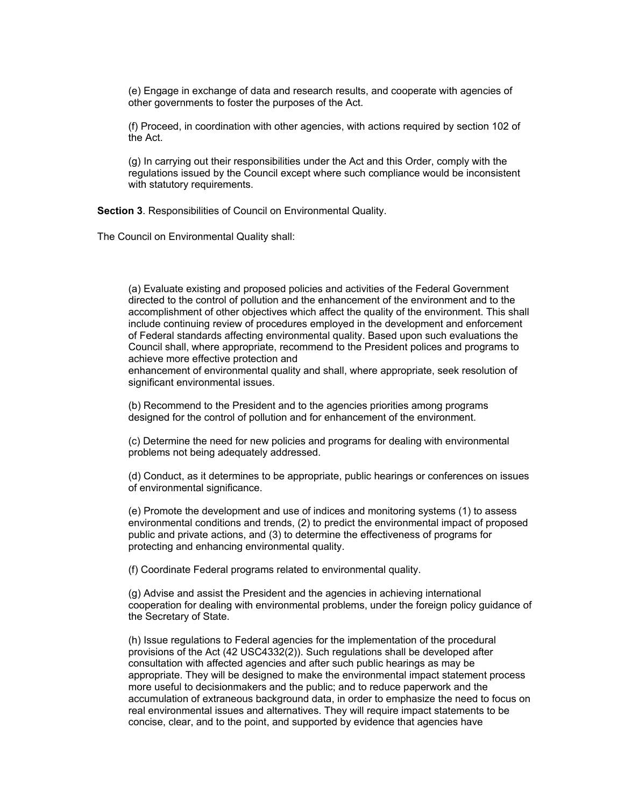(e) Engage in exchange of data and research results, and cooperate with agencies of other governments to foster the purposes of the Act.

(f) Proceed, in coordination with other agencies, with actions required by section 102 of the Act.

(g) In carrying out their responsibilities under the Act and this Order, comply with the regulations issued by the Council except where such compliance would be inconsistent with statutory requirements.

 **Section 3**. Responsibilities of Council on Environmental Quality.

The Council on Environmental Quality shall:

(a) Evaluate existing and proposed policies and activities of the Federal Government directed to the control of pollution and the enhancement of the environment and to the accomplishment of other objectives which affect the quality of the environment. This shall include continuing review of procedures employed in the development and enforcement of Federal standards affecting environmental quality. Based upon such evaluations the Council shall, where appropriate, recommend to the President polices and programs to achieve more effective protection and

enhancement of environmental quality and shall, where appropriate, seek resolution of significant environmental issues.

(b) Recommend to the President and to the agencies priorities among programs designed for the control of pollution and for enhancement of the environment.

(c) Determine the need for new policies and programs for dealing with environmental problems not being adequately addressed.

(d) Conduct, as it determines to be appropriate, public hearings or conferences on issues of environmental significance.

(e) Promote the development and use of indices and monitoring systems (1) to assess environmental conditions and trends, (2) to predict the environmental impact of proposed public and private actions, and (3) to determine the effectiveness of programs for protecting and enhancing environmental quality.

(f) Coordinate Federal programs related to environmental quality.

(g) Advise and assist the President and the agencies in achieving international cooperation for dealing with environmental problems, under the foreign policy guidance of the Secretary of State.

(h) Issue regulations to Federal agencies for the implementation of the procedural provisions of the Act (42 USC4332(2)). Such regulations shall be developed after consultation with affected agencies and after such public hearings as may be appropriate. They will be designed to make the environmental impact statement process more useful to decisionmakers and the public; and to reduce paperwork and the accumulation of extraneous background data, in order to emphasize the need to focus on real environmental issues and alternatives. They will require impact statements to be concise, clear, and to the point, and supported by evidence that agencies have